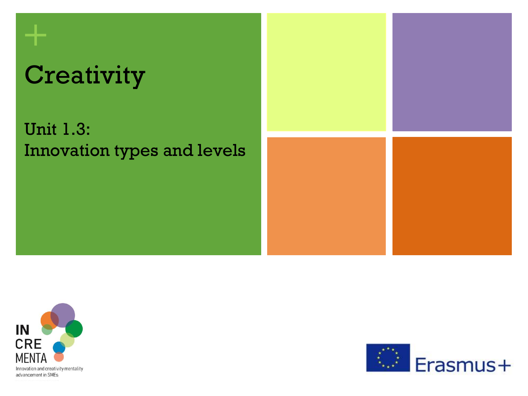# **Creativity**

**+**

# Unit 1.3: Innovation types and levels





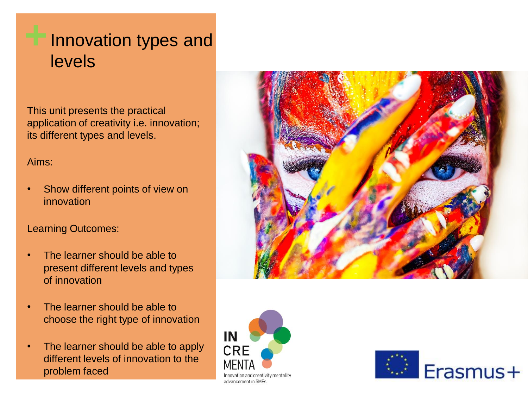This unit presents the practical application of creativity i.e. innovation; its different types and levels.

#### Aims:

Show different points of view on innovation

#### Learning Outcomes:

- The learner should be able to present different levels and types of innovation
- The learner should be able to choose the right type of innovation
- The learner should be able to apply different levels of innovation to the problem faced





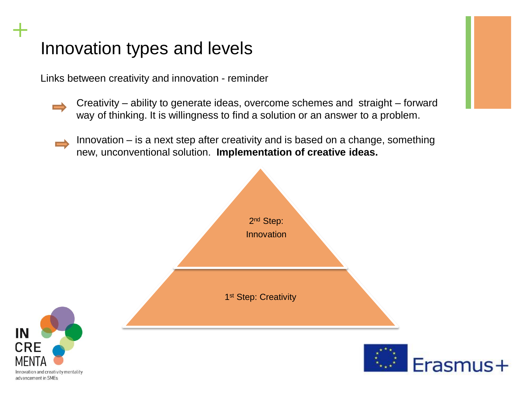Links between creativity and innovation - reminder

- Creativity ability to generate ideas, overcome schemes and straight forward way of thinking. It is willingness to find a solution or an answer to a problem.
- Innovation is a next step after creativity and is based on a change, something new, unconventional solution. **Implementation of creative ideas.**





**+**

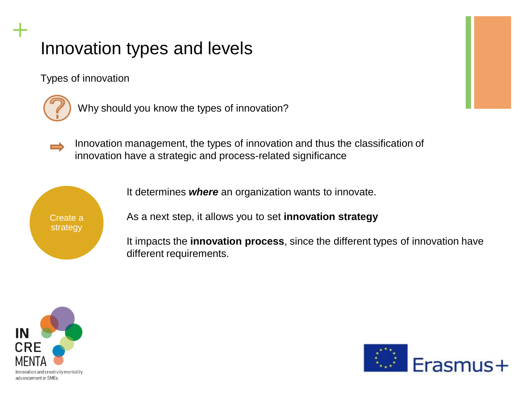Types of innovation



**+**

Why should you know the types of innovation?

Innovation management, the types of innovation and thus the classification of innovation have a strategic and process-related significance



It determines *where* an organization wants to innovate.

As a next step, it allows you to set **innovation strategy**

It impacts the **innovation process**, since the different types of innovation have different requirements.



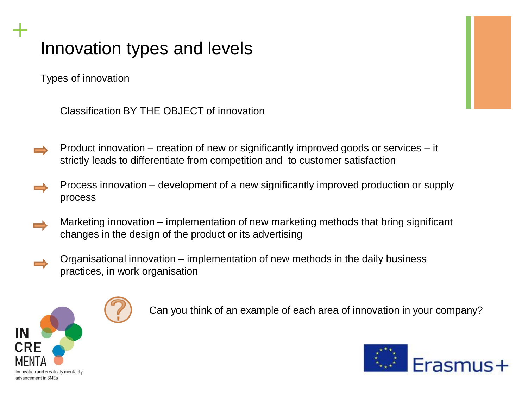Types of innovation

**+**

Classification BY THE OBJECT of innovation

- Product innovation creation of new or significantly improved goods or services it strictly leads to differentiate from competition and to customer satisfaction
- Process innovation development of a new significantly improved production or supply process
- Marketing innovation implementation of new marketing methods that bring significant changes in the design of the product or its advertising
	- Organisational innovation implementation of new methods in the daily business practices, in work organisation



Can you think of an example of each area of innovation in your company?

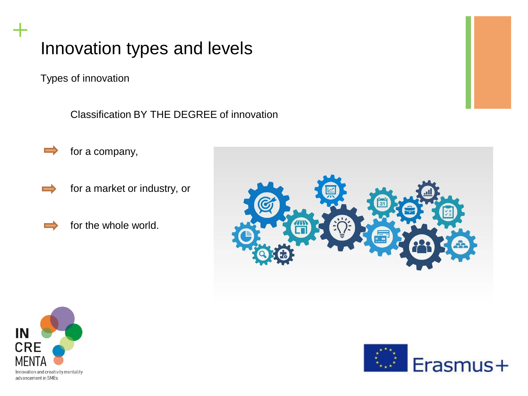Types of innovation

**+**

Classification BY THE DEGREE of innovation



- for a market or industry, or
- for the whole world.





▅

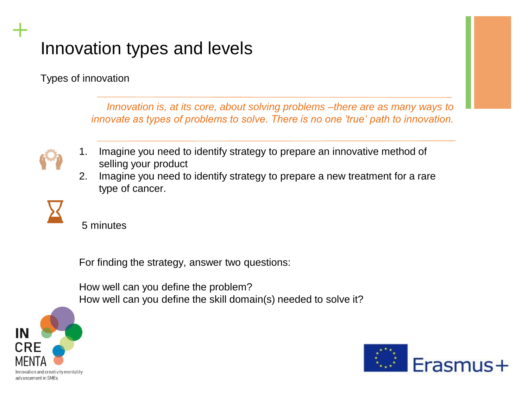Types of innovation

*Innovation is, at its core, about solving problems –there are as many ways to innovate as types of problems to solve. There is no one 'true' path to innovation.* 



**+**

- 1. Imagine you need to identify strategy to prepare an innovative method of selling your product
- 2. Imagine you need to identify strategy to prepare a new treatment for a rare type of cancer.



5 minutes

For finding the strategy, answer two questions:

How well can you define the problem? How well can you define the skill domain(s) needed to solve it?



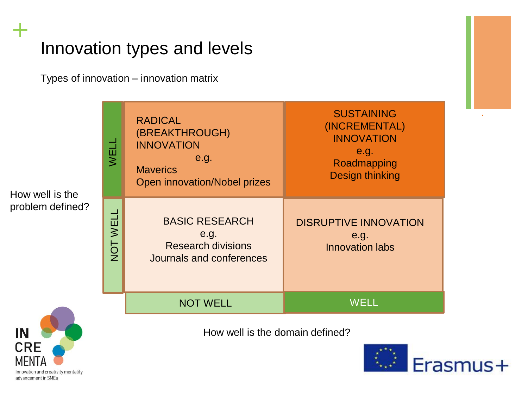Types of innovation – innovation matrix

| How well is the<br>problem defined? | WELL     | <b>RADICAL</b><br>(BREAKTHROUGH)<br><b>INNOVATION</b><br>e.g.<br><b>Maverics</b><br>Open innovation/Nobel prizes | <b>SUSTAINING</b><br>(INCREMENTAL)<br><b>INNOVATION</b><br>e.g.<br>Roadmapping<br><b>Design thinking</b> |
|-------------------------------------|----------|------------------------------------------------------------------------------------------------------------------|----------------------------------------------------------------------------------------------------------|
|                                     | NOT WELL | <b>BASIC RESEARCH</b><br>e.g.<br><b>Research divisions</b><br>Journals and conferences                           | <b>DISRUPTIVE INNOVATION</b><br>e.g.<br><b>Innovation labs</b>                                           |
|                                     |          | <b>NOT WELL</b>                                                                                                  | <b>WELL</b>                                                                                              |

How well is the domain defined?



*.* 



**+**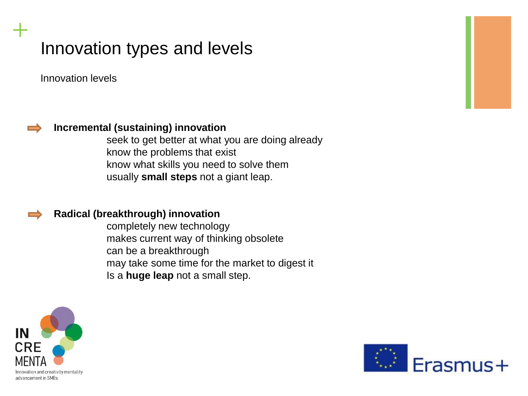Innovation levels



**+**

#### **Incremental (sustaining) innovation**

seek to get better at what you are doing already know the problems that exist know what skills you need to solve them usually **small steps** not a giant leap.

#### **Radical (breakthrough) innovation**

completely new technology makes current way of thinking obsolete can be a breakthrough may take some time for the market to digest it Is a **huge leap** not a small step.



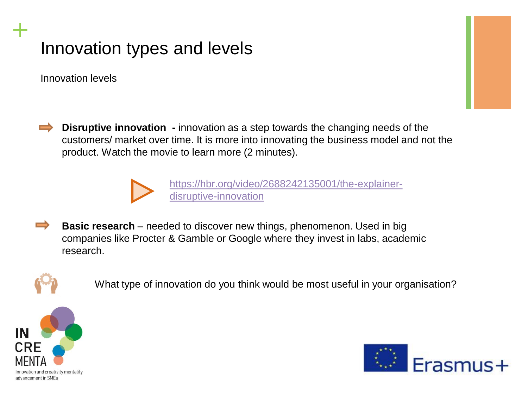Innovation levels

**+**

**Disruptive innovation -** innovation as a step towards the changing needs of the customers/ market over time. It is more into innovating the business model and not the product. Watch the movie to learn more (2 minutes).



[https://hbr.org/video/2688242135001/the-explainer](https://hbr.org/video/2688242135001/the-explainer-disruptive-innovation)disruptive-innovation

**Basic research** – needed to discover new things, phenomenon. Used in big companies like Procter & Gamble or Google where they invest in labs, academic research.



What type of innovation do you think would be most useful in your organisation?